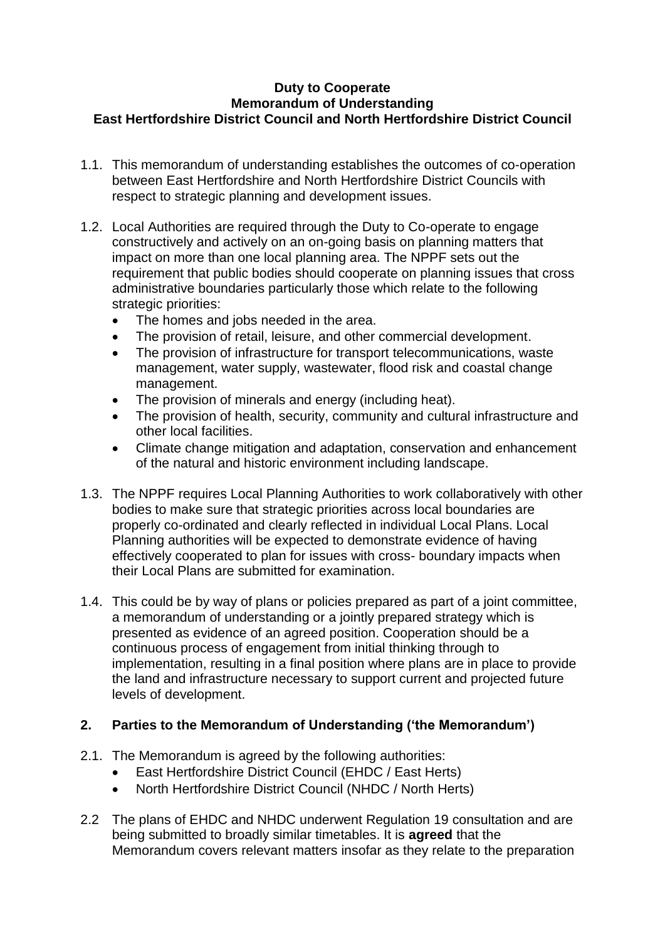### **Duty to Cooperate Memorandum of Understanding East Hertfordshire District Council and North Hertfordshire District Council**

- 1.1. This memorandum of understanding establishes the outcomes of co-operation between East Hertfordshire and North Hertfordshire District Councils with respect to strategic planning and development issues.
- 1.2. Local Authorities are required through the Duty to Co-operate to engage constructively and actively on an on-going basis on planning matters that impact on more than one local planning area. The NPPF sets out the requirement that public bodies should cooperate on planning issues that cross administrative boundaries particularly those which relate to the following strategic priorities:
	- The homes and jobs needed in the area.
	- The provision of retail, leisure, and other commercial development.
	- The provision of infrastructure for transport telecommunications, waste management, water supply, wastewater, flood risk and coastal change management.
	- The provision of minerals and energy (including heat).
	- The provision of health, security, community and cultural infrastructure and other local facilities.
	- Climate change mitigation and adaptation, conservation and enhancement of the natural and historic environment including landscape.
- 1.3. The NPPF requires Local Planning Authorities to work collaboratively with other bodies to make sure that strategic priorities across local boundaries are properly co-ordinated and clearly reflected in individual Local Plans. Local Planning authorities will be expected to demonstrate evidence of having effectively cooperated to plan for issues with cross- boundary impacts when their Local Plans are submitted for examination.
- 1.4. This could be by way of plans or policies prepared as part of a joint committee, a memorandum of understanding or a jointly prepared strategy which is presented as evidence of an agreed position. Cooperation should be a continuous process of engagement from initial thinking through to implementation, resulting in a final position where plans are in place to provide the land and infrastructure necessary to support current and projected future levels of development.

## **2. Parties to the Memorandum of Understanding ('the Memorandum')**

- 2.1. The Memorandum is agreed by the following authorities:
	- East Hertfordshire District Council (EHDC / East Herts)
	- North Hertfordshire District Council (NHDC / North Herts)
- 2.2 The plans of EHDC and NHDC underwent Regulation 19 consultation and are being submitted to broadly similar timetables. It is **agreed** that the Memorandum covers relevant matters insofar as they relate to the preparation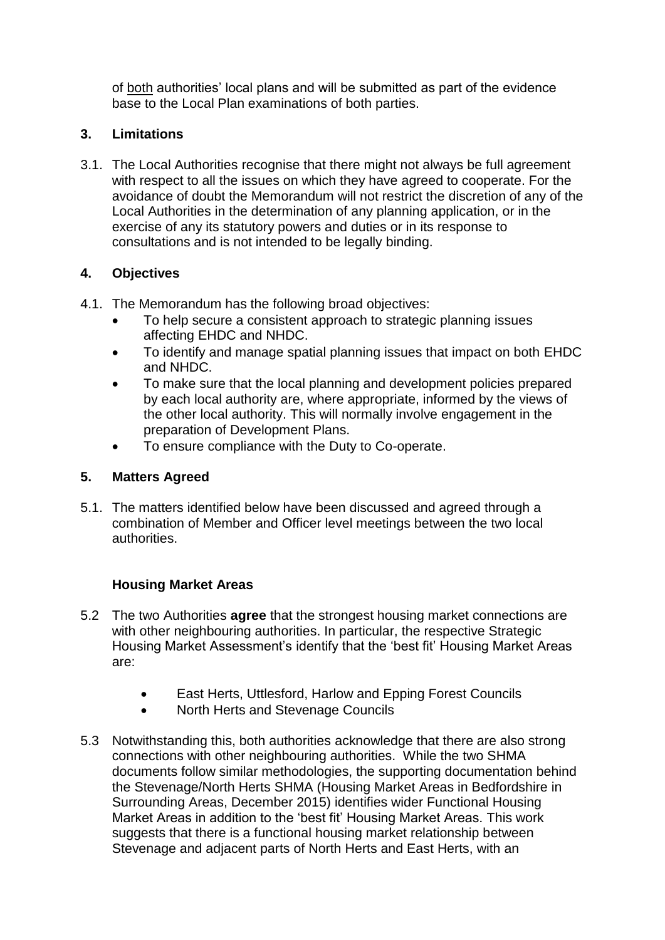of both authorities' local plans and will be submitted as part of the evidence base to the Local Plan examinations of both parties.

# **3. Limitations**

3.1. The Local Authorities recognise that there might not always be full agreement with respect to all the issues on which they have agreed to cooperate. For the avoidance of doubt the Memorandum will not restrict the discretion of any of the Local Authorities in the determination of any planning application, or in the exercise of any its statutory powers and duties or in its response to consultations and is not intended to be legally binding.

# **4. Objectives**

4.1. The Memorandum has the following broad objectives:

- To help secure a consistent approach to strategic planning issues affecting EHDC and NHDC.
- To identify and manage spatial planning issues that impact on both EHDC and NHDC.
- To make sure that the local planning and development policies prepared by each local authority are, where appropriate, informed by the views of the other local authority. This will normally involve engagement in the preparation of Development Plans.
- To ensure compliance with the Duty to Co-operate.

## **5. Matters Agreed**

5.1. The matters identified below have been discussed and agreed through a combination of Member and Officer level meetings between the two local authorities.

## **Housing Market Areas**

- 5.2 The two Authorities **agree** that the strongest housing market connections are with other neighbouring authorities. In particular, the respective Strategic Housing Market Assessment's identify that the 'best fit' Housing Market Areas are:
	- East Herts, Uttlesford, Harlow and Epping Forest Councils
	- North Herts and Stevenage Councils
- 5.3 Notwithstanding this, both authorities acknowledge that there are also strong connections with other neighbouring authorities. While the two SHMA documents follow similar methodologies, the supporting documentation behind the Stevenage/North Herts SHMA (Housing Market Areas in Bedfordshire in Surrounding Areas, December 2015) identifies wider Functional Housing Market Areas in addition to the 'best fit' Housing Market Areas. This work suggests that there is a functional housing market relationship between Stevenage and adjacent parts of North Herts and East Herts, with an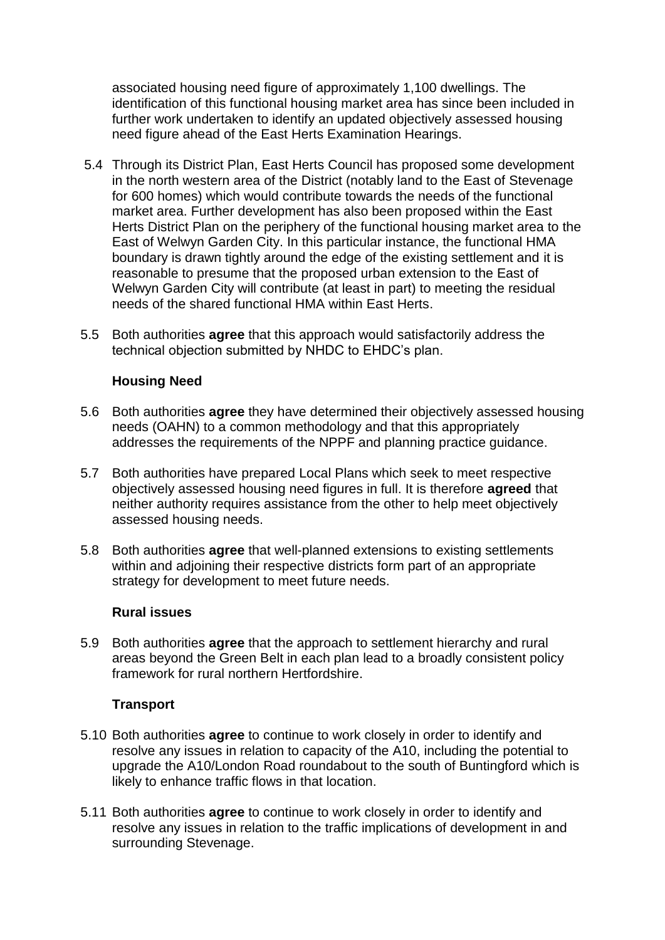associated housing need figure of approximately 1,100 dwellings. The identification of this functional housing market area has since been included in further work undertaken to identify an updated objectively assessed housing need figure ahead of the East Herts Examination Hearings.

- 5.4 Through its District Plan, East Herts Council has proposed some development in the north western area of the District (notably land to the East of Stevenage for 600 homes) which would contribute towards the needs of the functional market area. Further development has also been proposed within the East Herts District Plan on the periphery of the functional housing market area to the East of Welwyn Garden City. In this particular instance, the functional HMA boundary is drawn tightly around the edge of the existing settlement and it is reasonable to presume that the proposed urban extension to the East of Welwyn Garden City will contribute (at least in part) to meeting the residual needs of the shared functional HMA within East Herts.
- 5.5 Both authorities **agree** that this approach would satisfactorily address the technical objection submitted by NHDC to EHDC's plan.

### **Housing Need**

- 5.6 Both authorities **agree** they have determined their objectively assessed housing needs (OAHN) to a common methodology and that this appropriately addresses the requirements of the NPPF and planning practice guidance.
- 5.7 Both authorities have prepared Local Plans which seek to meet respective objectively assessed housing need figures in full. It is therefore **agreed** that neither authority requires assistance from the other to help meet objectively assessed housing needs.
- 5.8 Both authorities **agree** that well-planned extensions to existing settlements within and adjoining their respective districts form part of an appropriate strategy for development to meet future needs.

#### **Rural issues**

5.9 Both authorities **agree** that the approach to settlement hierarchy and rural areas beyond the Green Belt in each plan lead to a broadly consistent policy framework for rural northern Hertfordshire.

#### **Transport**

- 5.10 Both authorities **agree** to continue to work closely in order to identify and resolve any issues in relation to capacity of the A10, including the potential to upgrade the A10/London Road roundabout to the south of Buntingford which is likely to enhance traffic flows in that location.
- 5.11 Both authorities **agree** to continue to work closely in order to identify and resolve any issues in relation to the traffic implications of development in and surrounding Stevenage.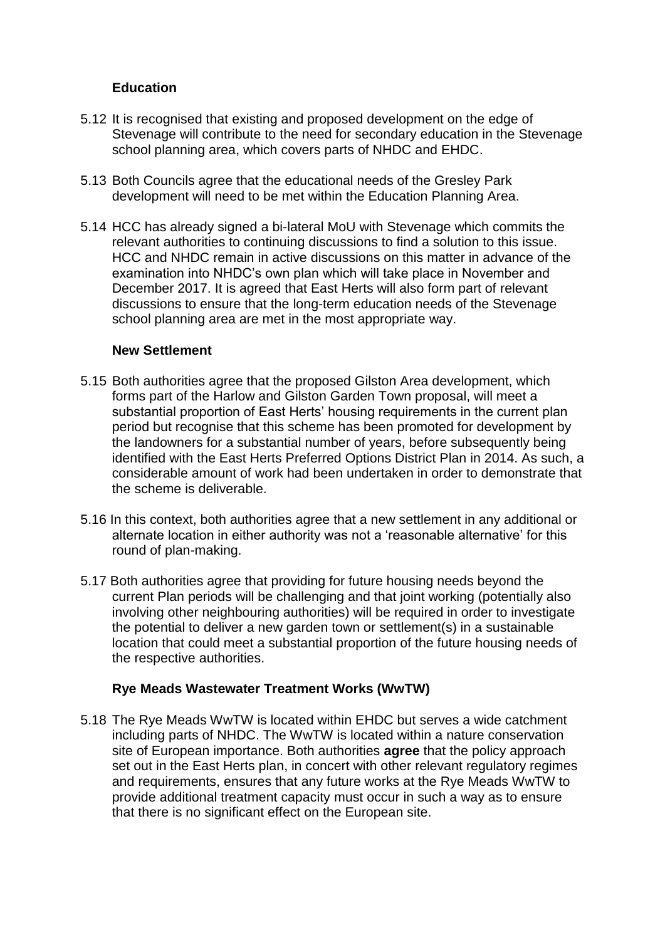### **Education**

- 5.12 It is recognised that existing and proposed development on the edge of Stevenage will contribute to the need for secondary education in the Stevenage school planning area, which covers parts of NHDC and EHDC.
- 5.13 Both Councils agree that the educational needs of the Gresley Park development will need to be met within the Education Planning Area.
- 5.14 HCC has already signed a bi-lateral MoU with Stevenage which commits the relevant authorities to continuing discussions to find a solution to this issue. HCC and NHDC remain in active discussions on this matter in advance of the examination into NHDC's own plan which will take place in November and December 2017. It is agreed that East Herts will also form part of relevant discussions to ensure that the long-term education needs of the Stevenage school planning area are met in the most appropriate way.

### **New Settlement**

- 5.15 Both authorities agree that the proposed Gilston Area development, which forms part of the Harlow and Gilston Garden Town proposal, will meet a substantial proportion of East Herts' housing requirements in the current plan period but recognise that this scheme has been promoted for development by the landowners for a substantial number of years, before subsequently being identified with the East Herts Preferred Options District Plan in 2014. As such, a considerable amount of work had been undertaken in order to demonstrate that the scheme is deliverable.
- 5.16 In this context, both authorities agree that a new settlement in any additional or alternate location in either authority was not a 'reasonable alternative' for this round of plan-making.
- 5.17 Both authorities agree that providing for future housing needs beyond the current Plan periods will be challenging and that joint working (potentially also involving other neighbouring authorities) will be required in order to investigate the potential to deliver a new garden town or settlement(s) in a sustainable location that could meet a substantial proportion of the future housing needs of the respective authorities.

## **Rye Meads Wastewater Treatment Works (WwTW)**

5.18 The Rye Meads WwTW is located within EHDC but serves a wide catchment including parts of NHDC. The WwTW is located within a nature conservation site of European importance. Both authorities **agree** that the policy approach set out in the East Herts plan, in concert with other relevant regulatory regimes and requirements, ensures that any future works at the Rye Meads WwTW to provide additional treatment capacity must occur in such a way as to ensure that there is no significant effect on the European site.